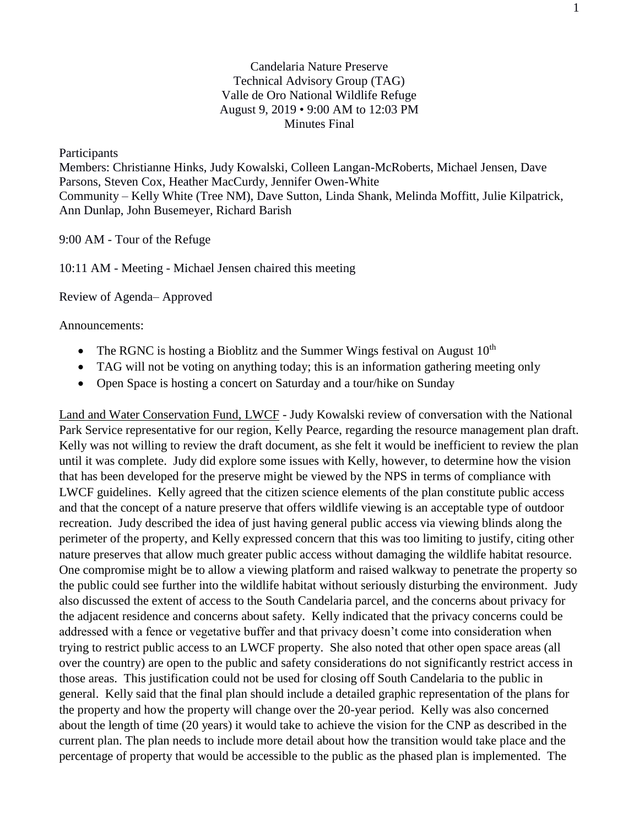## Candelaria Nature Preserve Technical Advisory Group (TAG) Valle de Oro National Wildlife Refuge August 9, 2019 • 9:00 AM to 12:03 PM Minutes Final

Participants

Members: Christianne Hinks, Judy Kowalski, Colleen Langan-McRoberts, Michael Jensen, Dave Parsons, Steven Cox, Heather MacCurdy, Jennifer Owen-White Community – Kelly White (Tree NM), Dave Sutton, Linda Shank, Melinda Moffitt, Julie Kilpatrick, Ann Dunlap, John Busemeyer, Richard Barish

9:00 AM - Tour of the Refuge

10:11 AM - Meeting - Michael Jensen chaired this meeting

Review of Agenda– Approved

Announcements:

- The RGNC is hosting a Bioblitz and the Summer Wings festival on August  $10^{th}$
- TAG will not be voting on anything today; this is an information gathering meeting only
- Open Space is hosting a concert on Saturday and a tour/hike on Sunday

Land and Water Conservation Fund, LWCF - Judy Kowalski review of conversation with the National Park Service representative for our region, Kelly Pearce, regarding the resource management plan draft. Kelly was not willing to review the draft document, as she felt it would be inefficient to review the plan until it was complete. Judy did explore some issues with Kelly, however, to determine how the vision that has been developed for the preserve might be viewed by the NPS in terms of compliance with LWCF guidelines. Kelly agreed that the citizen science elements of the plan constitute public access and that the concept of a nature preserve that offers wildlife viewing is an acceptable type of outdoor recreation. Judy described the idea of just having general public access via viewing blinds along the perimeter of the property, and Kelly expressed concern that this was too limiting to justify, citing other nature preserves that allow much greater public access without damaging the wildlife habitat resource. One compromise might be to allow a viewing platform and raised walkway to penetrate the property so the public could see further into the wildlife habitat without seriously disturbing the environment. Judy also discussed the extent of access to the South Candelaria parcel, and the concerns about privacy for the adjacent residence and concerns about safety. Kelly indicated that the privacy concerns could be addressed with a fence or vegetative buffer and that privacy doesn't come into consideration when trying to restrict public access to an LWCF property. She also noted that other open space areas (all over the country) are open to the public and safety considerations do not significantly restrict access in those areas. This justification could not be used for closing off South Candelaria to the public in general. Kelly said that the final plan should include a detailed graphic representation of the plans for the property and how the property will change over the 20-year period. Kelly was also concerned about the length of time (20 years) it would take to achieve the vision for the CNP as described in the current plan. The plan needs to include more detail about how the transition would take place and the percentage of property that would be accessible to the public as the phased plan is implemented. The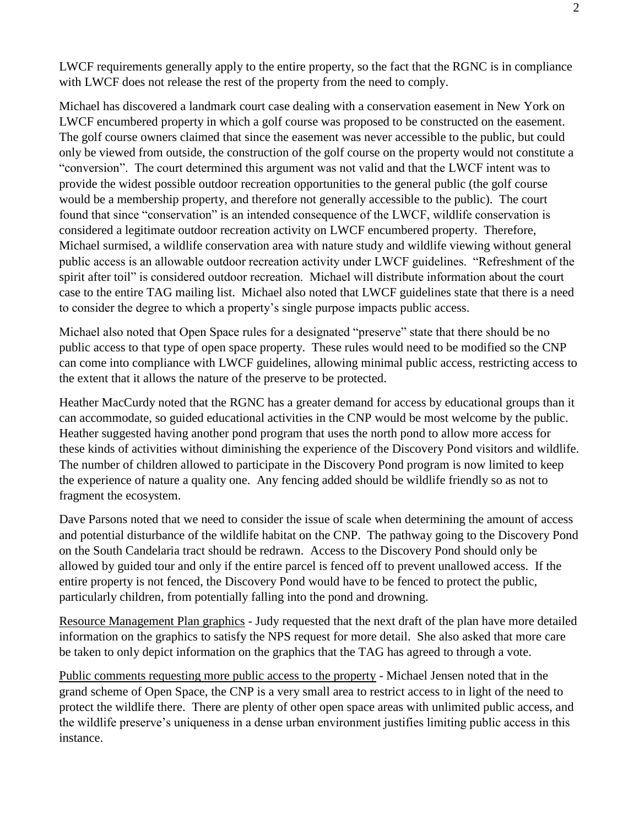LWCF requirements generally apply to the entire property, so the fact that the RGNC is in compliance with LWCF does not release the rest of the property from the need to comply.

Michael has discovered a landmark court case dealing with a conservation easement in New York on LWCF encumbered property in which a golf course was proposed to be constructed on the easement. The golf course owners claimed that since the easement was never accessible to the public, but could only be viewed from outside, the construction of the golf course on the property would not constitute a "conversion". The court determined this argument was not valid and that the LWCF intent was to provide the widest possible outdoor recreation opportunities to the general public (the golf course would be a membership property, and therefore not generally accessible to the public). The court found that since "conservation" is an intended consequence of the LWCF, wildlife conservation is considered a legitimate outdoor recreation activity on LWCF encumbered property. Therefore, Michael surmised, a wildlife conservation area with nature study and wildlife viewing without general public access is an allowable outdoor recreation activity under LWCF guidelines. "Refreshment of the spirit after toil" is considered outdoor recreation. Michael will distribute information about the court case to the entire TAG mailing list. Michael also noted that LWCF guidelines state that there is a need to consider the degree to which a property's single purpose impacts public access.

Michael also noted that Open Space rules for a designated "preserve" state that there should be no public access to that type of open space property. These rules would need to be modified so the CNP can come into compliance with LWCF guidelines, allowing minimal public access, restricting access to the extent that it allows the nature of the preserve to be protected.

Heather MacCurdy noted that the RGNC has a greater demand for access by educational groups than it can accommodate, so guided educational activities in the CNP would be most welcome by the public. Heather suggested having another pond program that uses the north pond to allow more access for these kinds of activities without diminishing the experience of the Discovery Pond visitors and wildlife. The number of children allowed to participate in the Discovery Pond program is now limited to keep the experience of nature a quality one. Any fencing added should be wildlife friendly so as not to fragment the ecosystem.

Dave Parsons noted that we need to consider the issue of scale when determining the amount of access and potential disturbance of the wildlife habitat on the CNP. The pathway going to the Discovery Pond on the South Candelaria tract should be redrawn. Access to the Discovery Pond should only be allowed by guided tour and only if the entire parcel is fenced off to prevent unallowed access. If the entire property is not fenced, the Discovery Pond would have to be fenced to protect the public, particularly children, from potentially falling into the pond and drowning.

Resource Management Plan graphics - Judy requested that the next draft of the plan have more detailed information on the graphics to satisfy the NPS request for more detail. She also asked that more care be taken to only depict information on the graphics that the TAG has agreed to through a vote.

Public comments requesting more public access to the property - Michael Jensen noted that in the grand scheme of Open Space, the CNP is a very small area to restrict access to in light of the need to protect the wildlife there. There are plenty of other open space areas with unlimited public access, and the wildlife preserve's uniqueness in a dense urban environment justifies limiting public access in this instance.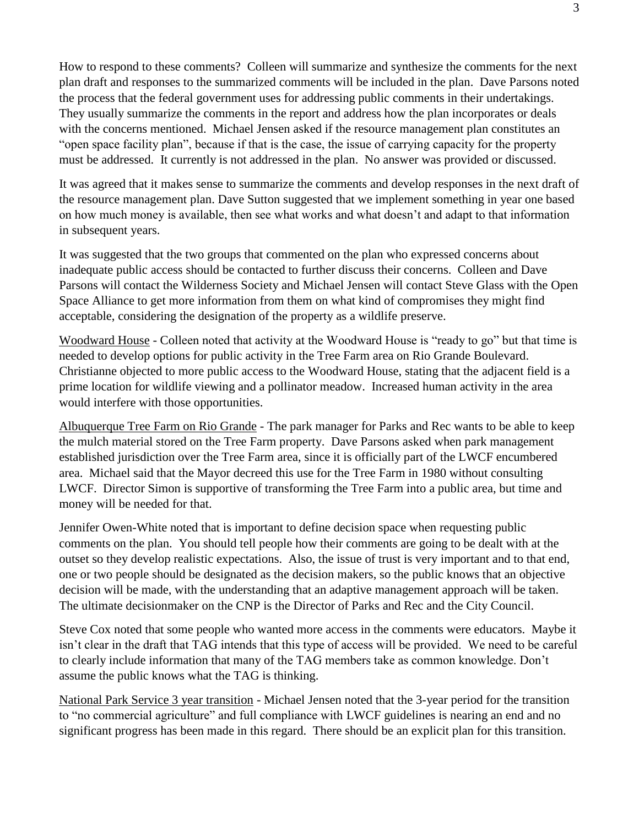How to respond to these comments? Colleen will summarize and synthesize the comments for the next plan draft and responses to the summarized comments will be included in the plan. Dave Parsons noted the process that the federal government uses for addressing public comments in their undertakings. They usually summarize the comments in the report and address how the plan incorporates or deals with the concerns mentioned. Michael Jensen asked if the resource management plan constitutes an "open space facility plan", because if that is the case, the issue of carrying capacity for the property must be addressed. It currently is not addressed in the plan. No answer was provided or discussed.

It was agreed that it makes sense to summarize the comments and develop responses in the next draft of the resource management plan. Dave Sutton suggested that we implement something in year one based on how much money is available, then see what works and what doesn't and adapt to that information in subsequent years.

It was suggested that the two groups that commented on the plan who expressed concerns about inadequate public access should be contacted to further discuss their concerns. Colleen and Dave Parsons will contact the Wilderness Society and Michael Jensen will contact Steve Glass with the Open Space Alliance to get more information from them on what kind of compromises they might find acceptable, considering the designation of the property as a wildlife preserve.

Woodward House - Colleen noted that activity at the Woodward House is "ready to go" but that time is needed to develop options for public activity in the Tree Farm area on Rio Grande Boulevard. Christianne objected to more public access to the Woodward House, stating that the adjacent field is a prime location for wildlife viewing and a pollinator meadow. Increased human activity in the area would interfere with those opportunities.

Albuquerque Tree Farm on Rio Grande - The park manager for Parks and Rec wants to be able to keep the mulch material stored on the Tree Farm property. Dave Parsons asked when park management established jurisdiction over the Tree Farm area, since it is officially part of the LWCF encumbered area. Michael said that the Mayor decreed this use for the Tree Farm in 1980 without consulting LWCF. Director Simon is supportive of transforming the Tree Farm into a public area, but time and money will be needed for that.

Jennifer Owen-White noted that is important to define decision space when requesting public comments on the plan. You should tell people how their comments are going to be dealt with at the outset so they develop realistic expectations. Also, the issue of trust is very important and to that end, one or two people should be designated as the decision makers, so the public knows that an objective decision will be made, with the understanding that an adaptive management approach will be taken. The ultimate decisionmaker on the CNP is the Director of Parks and Rec and the City Council.

Steve Cox noted that some people who wanted more access in the comments were educators. Maybe it isn't clear in the draft that TAG intends that this type of access will be provided. We need to be careful to clearly include information that many of the TAG members take as common knowledge. Don't assume the public knows what the TAG is thinking.

National Park Service 3 year transition - Michael Jensen noted that the 3-year period for the transition to "no commercial agriculture" and full compliance with LWCF guidelines is nearing an end and no significant progress has been made in this regard. There should be an explicit plan for this transition.